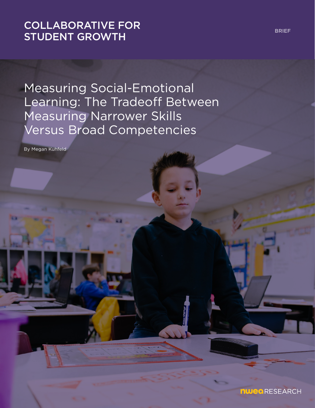# [COLLABORATIVE FOR](https://www.nwea.org/research/collaborative-for-student-growth/)  STUDENT GROWTH

Measuring Social-Emotional Learning: The Tradeoff Between Measuring Narrower Skills Versus Broad Competencies

By Megan Kuhfeld

BRIEF

**nwea** RESEARCH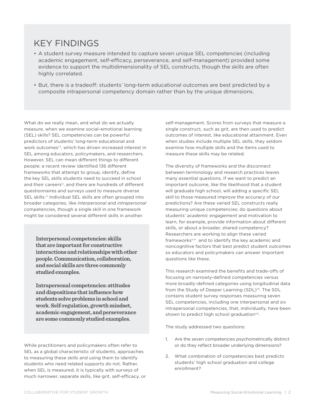## KEY FINDINGS

- A student survey measure intended to capture seven unique SEL competencies (including academic engagement, self-efficacy, perseverance, and self-management) provided some evidence to support the multidimensionality of SEL constructs, though the skills are often highly correlated.
- But, there is a tradeoff: students' long-term educational outcomes are best predicted by a composite intrapersonal competency domain rather than by the unique dimensions.

What do we really mean, and what do we actually measure, when we examine social-emotional learning (SEL) skills? SEL competencies can be powerful predictors of students' long-term educational and work outcomesi,ii, which has driven increased interest in SEL among educators, policymakers, and researchers. However, SEL can mean different things to different people: a recent review identified 136 different frameworks that attempt to group, identify, define the key SEL skills students need to succeed in school and their careersiii, and there are hundreds of different questionnaires and surveys used to measure diverse SEL skills.<sup>iv</sup> Individual SEL skills are often grouped into broader categories, like *interpersonal* and *intrapersonal* competencies, though a single skill in one framework might be considered several different skills in another.

**Interpersonal competencies: skills that are important for constructive interactions and relationships with other people. Communication, collaboration, and social skills are three commonly studied examples.**

**Intrapersonal competencies: attitudes and dispositions that influence how students solve problems in school and work. Self-regulation, growth mindset, academic engagement, and perseverance are some commonly studied examples.**

While practitioners and policymakers often refer to SEL as a global characteristic of students, approaches to measuring these skills and using them to identify students who need related supports do not. Rather, when SEL is measured, it is typically with surveys of much narrower, separate skills, like grit, self-efficacy, or self-management. Scores from surveys that measure a single construct, such as grit, are then used to predict outcomes of interest, like educational attainment. Even when studies include multiple SEL skills, they seldom examine how multiple skills and the items used to measure these skills may be related.

The diversity of frameworks and the disconnect between terminology and research practices leaves many essential questions. If we want to predict an important outcome, like the likelihood that a student will graduate high school, will adding a specific SEL skill to those measured improve the accuracy of our predictions? Are these varied SEL constructs really measuring unique competencies: do questions about students' *academic engagement* and motivation to learn, for example, provide information about different skills, or about a broader, shared competency? Researchers are working to align these varied frameworks<sup>v,vi</sup> and to identify the key academic and noncognitive factors that best predict student outcomes so educators and policymakers can answer important questions like these.

This research examined the benefits and trade-offs of focusing on narrowly-defined competencies versus more broadly-defined categories using longitudinal data from the Study of Deeper Learning (SDL)<sup>vii</sup>. The SDL contains student survey responses measuring seven SEL competencies, including one interpersonal and six intrapersonal competencies, that, individually, have been shown to predict high school graduationviii.

The study addressed two questions:

- 1. Are the seven competencies psychometrically distinct or do they reflect broader underlying dimensions?
- 2. What combination of competencies best predicts students' high school graduation and college enrollment?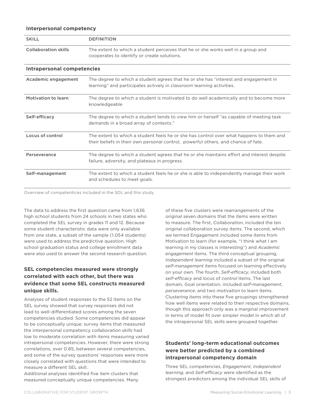#### **Interpersonal competency**

| <b>SKILL</b>                      | <b>DEFINITION</b>                                                                                                                                                            |
|-----------------------------------|------------------------------------------------------------------------------------------------------------------------------------------------------------------------------|
| <b>Collaboration skills</b>       | The extent to which a student perceives that he or she works well in a group and<br>cooperates to identify or create solutions.                                              |
| <b>Intrapersonal competencies</b> |                                                                                                                                                                              |
| Academic engagement               | The degree to which a student agrees that he or she has "interest and engagement in<br>learning" and participates actively in classroom learning activities.                 |
| Motivation to learn               | The degree to which a student is motivated to do well academically and to become more<br>knowledgeable                                                                       |
| Self-efficacy                     | The degree to which a student tends to view him or herself "as capable of meeting task<br>demands in a broad array of contexts."                                             |
| Locus of control                  | The extent to which a student feels he or she has control over what happens to them and<br>their beliefs in their own personal control, powerful others, and chance of fate. |
| Perseverance                      | The degree to which a student agrees that he or she maintains effort and interest despite<br>failure, adversity, and plateaus in progress.                                   |
| Self-management                   | The extent to which a student feels he or she is able to independently manage their work<br>and schedules to meet goals.                                                     |

Overview of competentices included in the SDL and this study

The data to address the first question came from 1,636 high school students from 24 schools in two states who completed the SEL survey in grades 11 and 12. Because some student characteristic data were only available from one state, a subset of the sample (1,054 students) were used to address the predictive question. High school graduation status and college enrollment data were also used to answer the second research question.

### **SEL competencies measured were strongly correlated with each other, but there was evidence that some SEL constructs measured unique skills.**

Analyses of student responses to the 52 items on the SEL survey showed that survey responses did not lead to well-differentiated scores among the seven competencies studied. Some competencies did appear to be conceptually unique: survey items that measured the interpersonal competency *collaboration skills* had low to moderate correlation with items measuring varied intrapersonal competencies. However, there were strong correlations, over 0.85, between several competencies, and some of the survey questions' responses were more closely correlated with questions that were intended to measure a different SEL skill.

Additional analyses identified five item clusters that measured conceptually unique competencies. Many of these five clusters were rearrangements of the original seven domains that the items were written to measure. The first, *Collaboration*, included the ten original collaboration survey items. The second, which we termed Engagement included some items from Motivation to learn (for example, "I think what I am learning in my classes is interesting") and *Academic engagement* items. The third conceptual grouping, *Independent learning* included a subset of the original *self-management* items focused on learning effectively on your own. The fourth, *Self-efficacy*, included both *self-efficacy* and locus of *control* items. The last domain, Goal orientation, included *self-management*, *perseverance*, and two *motivation* to learn items. Clustering items into these five groupings strengthened how well items were related to their respective domains, though this approach only was a marginal improvement in terms of model fit over simpler model in which all of the intrapersonal SEL skills were grouped together.

### **Students' long-term educational outcomes were better predicted by a combined intrapersonal competency domain**

Three SEL competencies, *Engagement*, *Independent learning*, and *Self-efficacy* were identified as the strongest predictors among the individual SEL skills of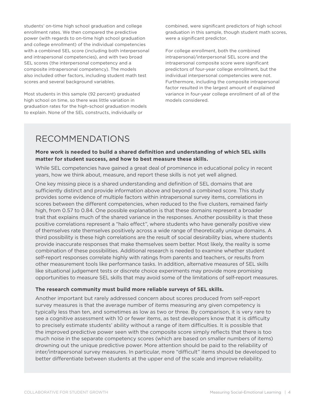students' on-time high school graduation and college enrollment rates. We then compared the predictive power (with regards to on-time high school graduation and college enrollment) of the individual competencies with a combined SEL score (including both interpersonal and intrapersonal competencies), and with two broad SEL scores (the interpersonal competency and a composite intrapersonal competency). The models also included other factors, including student math test scores and several background variables.

Most students in this sample (92 percent) graduated high school on time, so there was little variation in graduation rates for the high-school graduation models to explain. None of the SEL constructs, individually or

combined, were significant predictors of high school graduation in this sample, though student math scores, were a significant predictor.

For college enrollment, both the combined intrapersonal/interpersonal SEL score and the intrapersonal composite score were significant predictors of four-year college enrollment, but the individual interpersonal competencies were not. Furthermore, including the composite intrapersonal factor resulted in the largest amount of explained variance in four-year college enrollment of all of the models considered.

# RECOMMENDATIONS

### **More work is needed to build a shared definition and understanding of which SEL skills matter for student success, and how to best measure these skills.**

While SEL competencies have gained a great deal of prominence in educational policy in recent years, how we think about, measure, and report these skills is not yet well aligned.

One key missing piece is a shared understanding and definition of SEL domains that are sufficiently distinct and provide information above and beyond a combined score. This study provides some evidence of multiple factors within intrapersonal survey items, correlations in scores between the different competencies, when reduced to the five clusters, remained fairly high, from 0.57 to 0.84. One possible explanation is that these domains represent a broader trait that explains much of the shared variance in the responses. Another possibility is that these positive correlations represent a "halo effect", where students who have generally positive view of themselves rate themselves positively across a wide range of theoretically unique domains. A third possibility is these high correlations are the result of social desirability bias, where students provide inaccurate responses that make themselves seem better. Most likely, the reality is some combination of these possibilities. Additional research is needed to examine whether student self-report responses correlate highly with ratings from parents and teachers, or results from other measurement tools like performance tasks. In addition, alternative measures of SEL skills like situational judgement tests or discrete choice experiments may provide more promising opportunities to measure SEL skills that may avoid some of the limitations of self-report measures.

#### **The research community must build more reliable surveys of SEL skills.**

Another important but rarely addressed concern about scores produced from self-report survey measures is that the average number of items measuring any given competency is typically less than ten, and sometimes as low as two or three. By comparison, it is very rare to see a cognitive assessment with 10 or fewer items, as test developers know that it is difficulty to precisely estimate students' ability without a range of item difficulties. It is possible that the improved predictive power seen with the composite score simply reflects that there is too much noise in the separate competency scores (which are based on smaller numbers of items) drowning out the unique predictive power. More attention should be paid to the reliability of inter/intrapersonal survey measures. In particular, more "difficult" items should be developed to better differentiate between students at the upper end of the scale and improve reliability.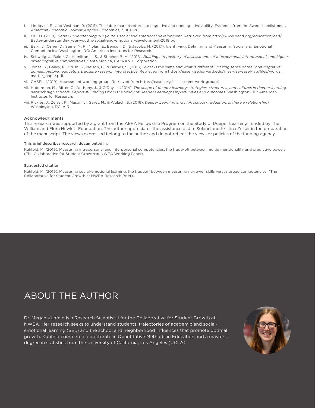- i. Lindqvist, E., and Vestman, R. (2011). The labor market returns to cognitive and noncognitive ability: Evidence from the Swedish enlistment. *American Economic Journal: Applied Economics*, 3, 101-128.
- ii. OECD. (2018). *Better understanding our youth's social and emotional development*. Retrieved from http://www.oecd.org/education/ceri/ Better-understanding-our-youth's-social-and-emotional-development-2018.pdf
- iii. Berg, J., Osher, D., Same, M. R., Nolan, E., Benson, D., & Jacobs, N. (2017). Identifying, Defining, and Measuring Social and Emotional Competencies. Washington, DC: American Institutes for Research.
- iv. Schweig, J., Baker, G., Hamilton, L. S., & Stecher, B. M. (2018). *Building a repository of assessments of interpersonal, intrapersonal, and higherorder cognitive competencies*. Santa Monica, CA: RAND Corporation.
- v. Jones, S., Bailey, R., Brush, K., Nelson, B., & Barnes, S. (2016). *What is the same and what is different? Making sense of the "non-cognitive" domain: Helping educators translate research into practice*. Retrieved from https://easel.gse.harvard.edu/files/gse-easel-lab/files/words\_ matter\_paper.pdf.
- vi. CASEL. (2019). Assessment working group. Retrieved from https://casel.org/assessment-work-group/.
- vii. Huberman, M., Bitter, C., Anthony, J., & O'Day, J. (2014). *The shape of deeper learning: strategies, structures, and cultures in deeper learning network high schools. Report #1 Findings from the Study of Deeper Learning: Opportunities and outcomes*. Washington, DC: American Institutes for Research.
- viii. Rickles, J., Zeiser, K., Mason, J., Garet, M., & Wulach, S. (2016). *Deeper Learning and high school graduation: Is there a relationship?*  Washington, DC: AIR.

#### Acknowledgments

This research was supported by a grant from the AERA Fellowship Program on the Study of Deeper Learning, funded by The William and Flora Hewlett Foundation. The author appreciates the assistance of Jim Soland and Kristina Zeiser in the preparation of the manuscript. The views expressed belong to the author and do not reflect the views or policies of the funding agency.

#### This brief describes research documented in:

Kuhfeld, M. (2019). Measuring intrapersonal and interpersonal competencies: the trade-off between multidimensionality and predictive power. (The Collaborative for Student Growth at NWEA Working Paper).

#### Suggested citation:

Kuhfeld, M. (2019). Measuring social-emotional learning: the tradeoff between measuring narrower skills versus broad competencies. (The Collaborative for Student Growth at NWEA Research Brief).

## ABOUT THE AUTHOR

Dr. Megan Kuhfeld is a Research Scientist II for the Collaborative for Student Growth at NWEA. Her research seeks to understand students' trajectories of academic and socialemotional learning (SEL) and the school and neighborhood influences that promote optimal growth. Kuhfeld completed a doctorate in Quantitative Methods in Education and a master's degree in statistics from the University of California, Los Angeles (UCLA).